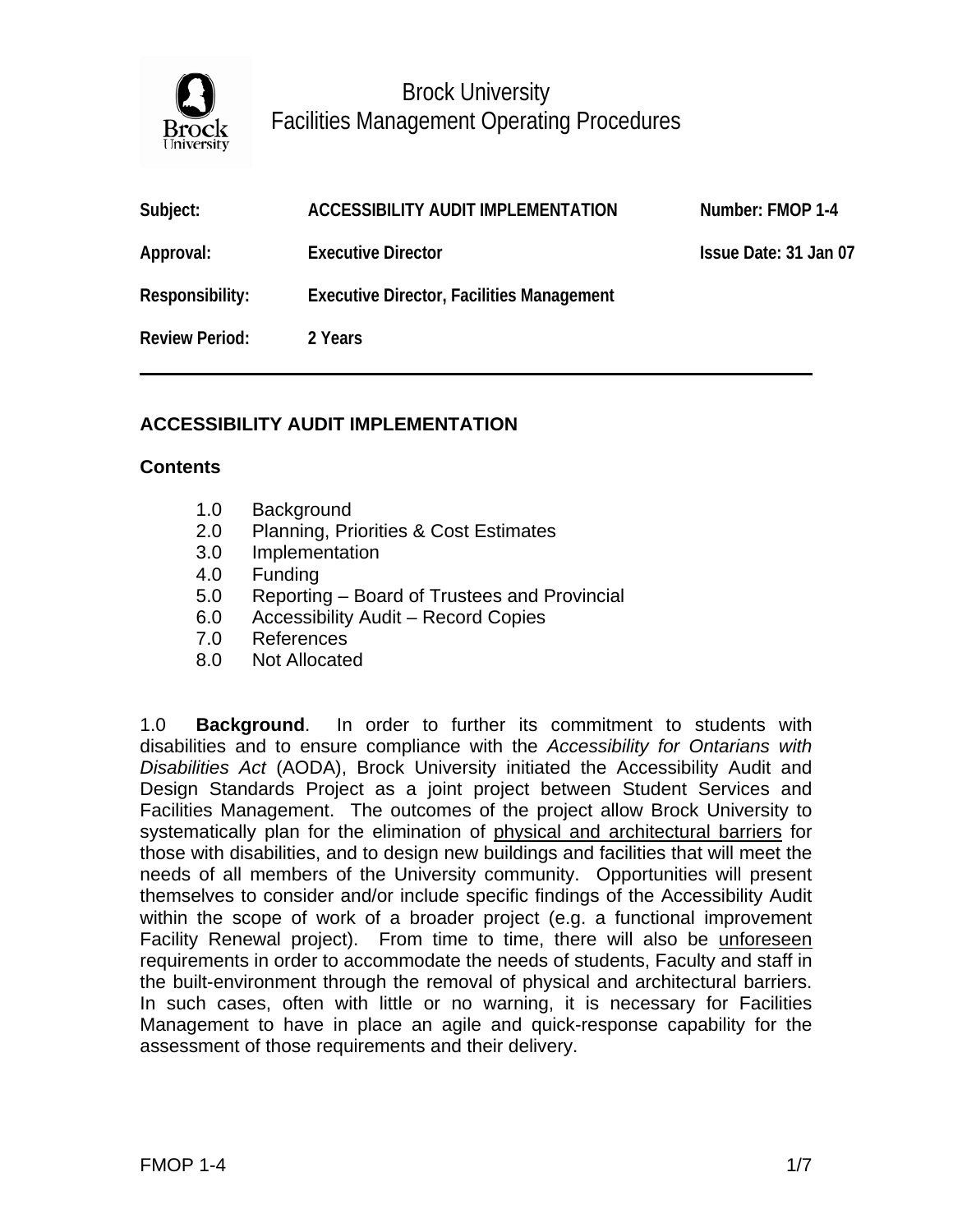

| Subject:              | ACCESSIBILITY AUDIT IMPLEMENTATION               | Number: FMOP 1-4      |
|-----------------------|--------------------------------------------------|-----------------------|
| Approval:             | <b>Executive Director</b>                        | Issue Date: 31 Jan 07 |
| Responsibility:       | <b>Executive Director, Facilities Management</b> |                       |
| <b>Review Period:</b> | 2 Years                                          |                       |

### **ACCESSIBILITY AUDIT IMPLEMENTATION**

### **Contents**

- 1.0 Background
- 2.0 Planning, Priorities & Cost Estimates
- 3.0 Implementation
- 4.0 Funding
- 5.0 Reporting Board of Trustees and Provincial
- 6.0 Accessibility Audit Record Copies
- 7.0 References
- 8.0 Not Allocated

1.0 **Background**. In order to further its commitment to students with disabilities and to ensure compliance with the *Accessibility for Ontarians with Disabilities Act* (AODA), Brock University initiated the Accessibility Audit and Design Standards Project as a joint project between Student Services and Facilities Management. The outcomes of the project allow Brock University to systematically plan for the elimination of physical and architectural barriers for those with disabilities, and to design new buildings and facilities that will meet the needs of all members of the University community. Opportunities will present themselves to consider and/or include specific findings of the Accessibility Audit within the scope of work of a broader project (e.g. a functional improvement Facility Renewal project). From time to time, there will also be unforeseen requirements in order to accommodate the needs of students, Faculty and staff in the built-environment through the removal of physical and architectural barriers. In such cases, often with little or no warning, it is necessary for Facilities Management to have in place an agile and quick-response capability for the assessment of those requirements and their delivery.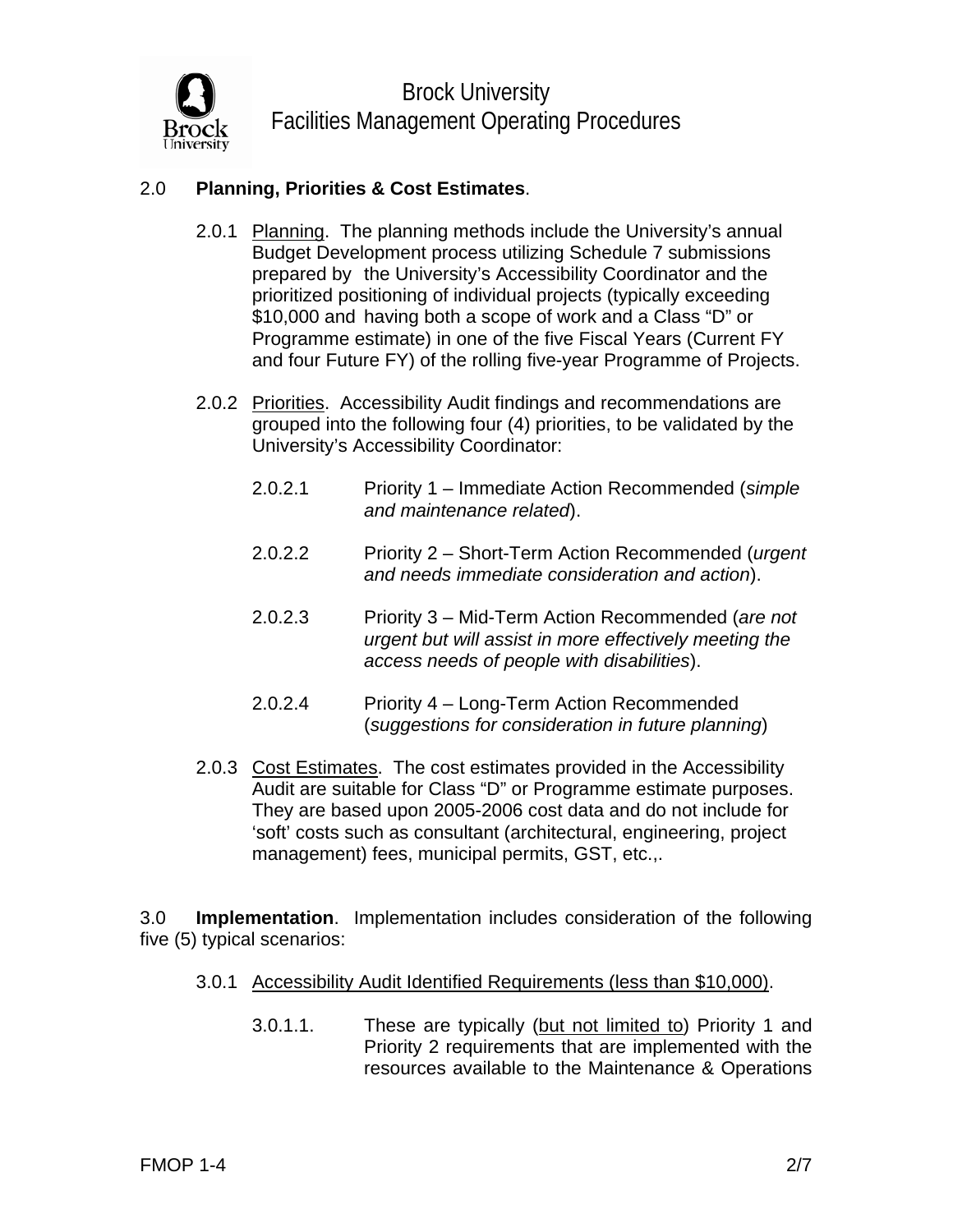

# 2.0 **Planning, Priorities & Cost Estimates**.

- 2.0.1 Planning. The planning methods include the University's annual Budget Development process utilizing Schedule 7 submissions prepared by the University's Accessibility Coordinator and the prioritized positioning of individual projects (typically exceeding \$10,000 and having both a scope of work and a Class "D" or Programme estimate) in one of the five Fiscal Years (Current FY and four Future FY) of the rolling five-year Programme of Projects.
- 2.0.2 Priorities. Accessibility Audit findings and recommendations are grouped into the following four (4) priorities, to be validated by the University's Accessibility Coordinator:
	- 2.0.2.1 Priority 1 Immediate Action Recommended (*simple and maintenance related*).
	- 2.0.2.2 Priority 2 Short-Term Action Recommended (*urgent and needs immediate consideration and action*).
	- 2.0.2.3 Priority 3 Mid-Term Action Recommended (*are not urgent but will assist in more effectively meeting the access needs of people with disabilities*).
	- 2.0.2.4 Priority 4 Long-Term Action Recommended (*suggestions for consideration in future planning*)
- 2.0.3 Cost Estimates. The cost estimates provided in the Accessibility Audit are suitable for Class "D" or Programme estimate purposes. They are based upon 2005-2006 cost data and do not include for 'soft' costs such as consultant (architectural, engineering, project management) fees, municipal permits, GST, etc.,.

3.0 **Implementation**. Implementation includes consideration of the following five (5) typical scenarios:

#### 3.0.1 Accessibility Audit Identified Requirements (less than \$10,000).

3.0.1.1. These are typically (but not limited to) Priority 1 and Priority 2 requirements that are implemented with the resources available to the Maintenance & Operations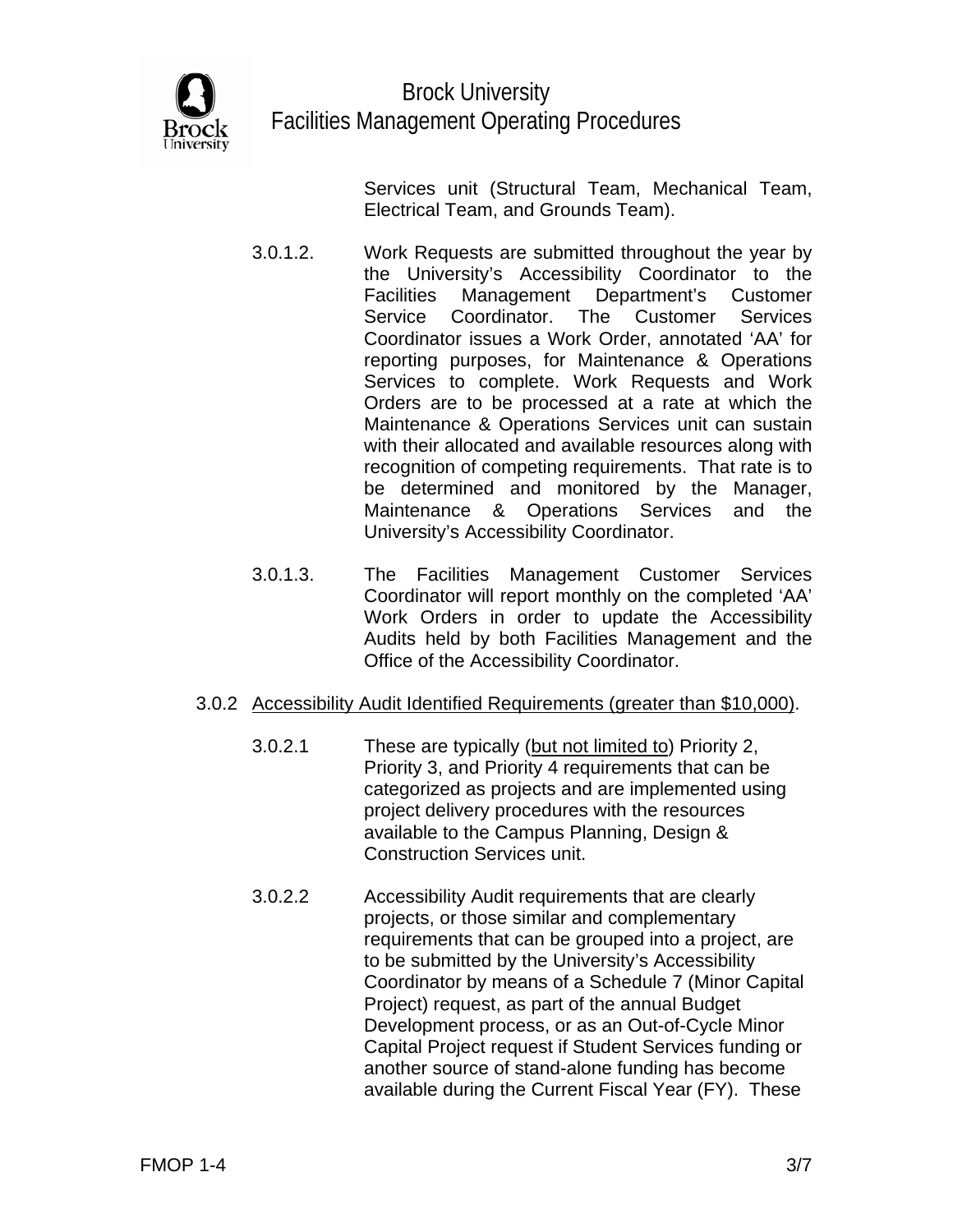

Services unit (Structural Team, Mechanical Team, Electrical Team, and Grounds Team).

- 3.0.1.2. Work Requests are submitted throughout the year by the University's Accessibility Coordinator to the Facilities Management Department's Customer Service Coordinator. The Customer Services Coordinator issues a Work Order, annotated 'AA' for reporting purposes, for Maintenance & Operations Services to complete. Work Requests and Work Orders are to be processed at a rate at which the Maintenance & Operations Services unit can sustain with their allocated and available resources along with recognition of competing requirements. That rate is to be determined and monitored by the Manager, Maintenance & Operations Services and the University's Accessibility Coordinator.
	- 3.0.1.3. The Facilities Management Customer Services Coordinator will report monthly on the completed 'AA' Work Orders in order to update the Accessibility Audits held by both Facilities Management and the Office of the Accessibility Coordinator.

# 3.0.2 Accessibility Audit Identified Requirements (greater than \$10,000).

- 3.0.2.1 These are typically (but not limited to) Priority 2, Priority 3, and Priority 4 requirements that can be categorized as projects and are implemented using project delivery procedures with the resources available to the Campus Planning, Design & Construction Services unit.
- 3.0.2.2 Accessibility Audit requirements that are clearly projects, or those similar and complementary requirements that can be grouped into a project, are to be submitted by the University's Accessibility Coordinator by means of a Schedule 7 (Minor Capital Project) request, as part of the annual Budget Development process, or as an Out-of-Cycle Minor Capital Project request if Student Services funding or another source of stand-alone funding has become available during the Current Fiscal Year (FY). These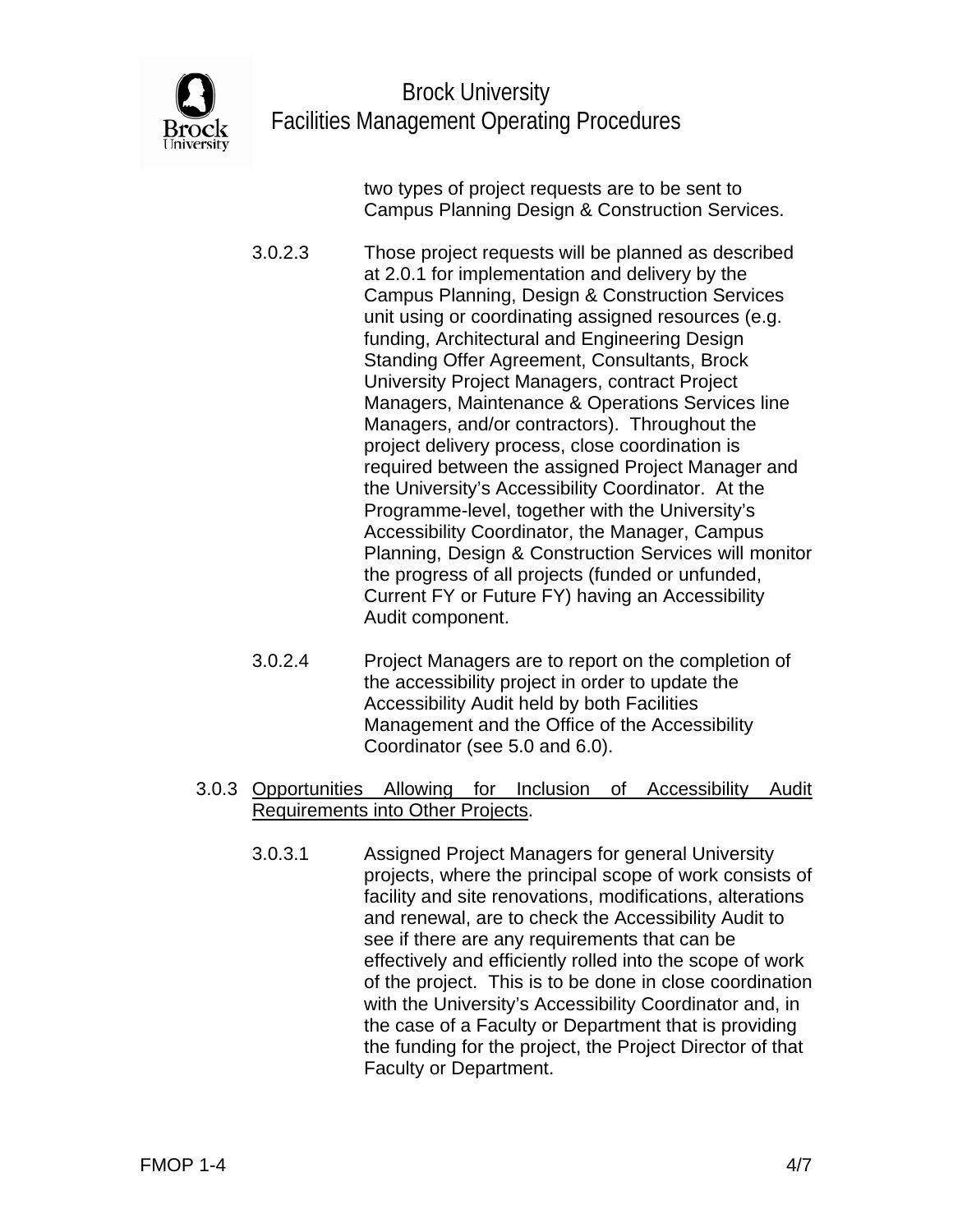

 two types of project requests are to be sent to Campus Planning Design & Construction Services.

 3.0.2.3 Those project requests will be planned as described at 2.0.1 for implementation and delivery by the Campus Planning, Design & Construction Services unit using or coordinating assigned resources (e.g. funding, Architectural and Engineering Design Standing Offer Agreement, Consultants, Brock University Project Managers, contract Project Managers, Maintenance & Operations Services line Managers, and/or contractors). Throughout the project delivery process, close coordination is required between the assigned Project Manager and the University's Accessibility Coordinator. At the Programme-level, together with the University's Accessibility Coordinator, the Manager, Campus Planning, Design & Construction Services will monitor the progress of all projects (funded or unfunded, Current FY or Future FY) having an Accessibility Audit component.

- 3.0.2.4 Project Managers are to report on the completion of the accessibility project in order to update the Accessibility Audit held by both Facilities Management and the Office of the Accessibility Coordinator (see 5.0 and 6.0).
- 3.0.3 Opportunities Allowing for Inclusion of Accessibility Audit Requirements into Other Projects.
	- 3.0.3.1 Assigned Project Managers for general University projects, where the principal scope of work consists of facility and site renovations, modifications, alterations and renewal, are to check the Accessibility Audit to see if there are any requirements that can be effectively and efficiently rolled into the scope of work of the project. This is to be done in close coordination with the University's Accessibility Coordinator and, in the case of a Faculty or Department that is providing the funding for the project, the Project Director of that Faculty or Department.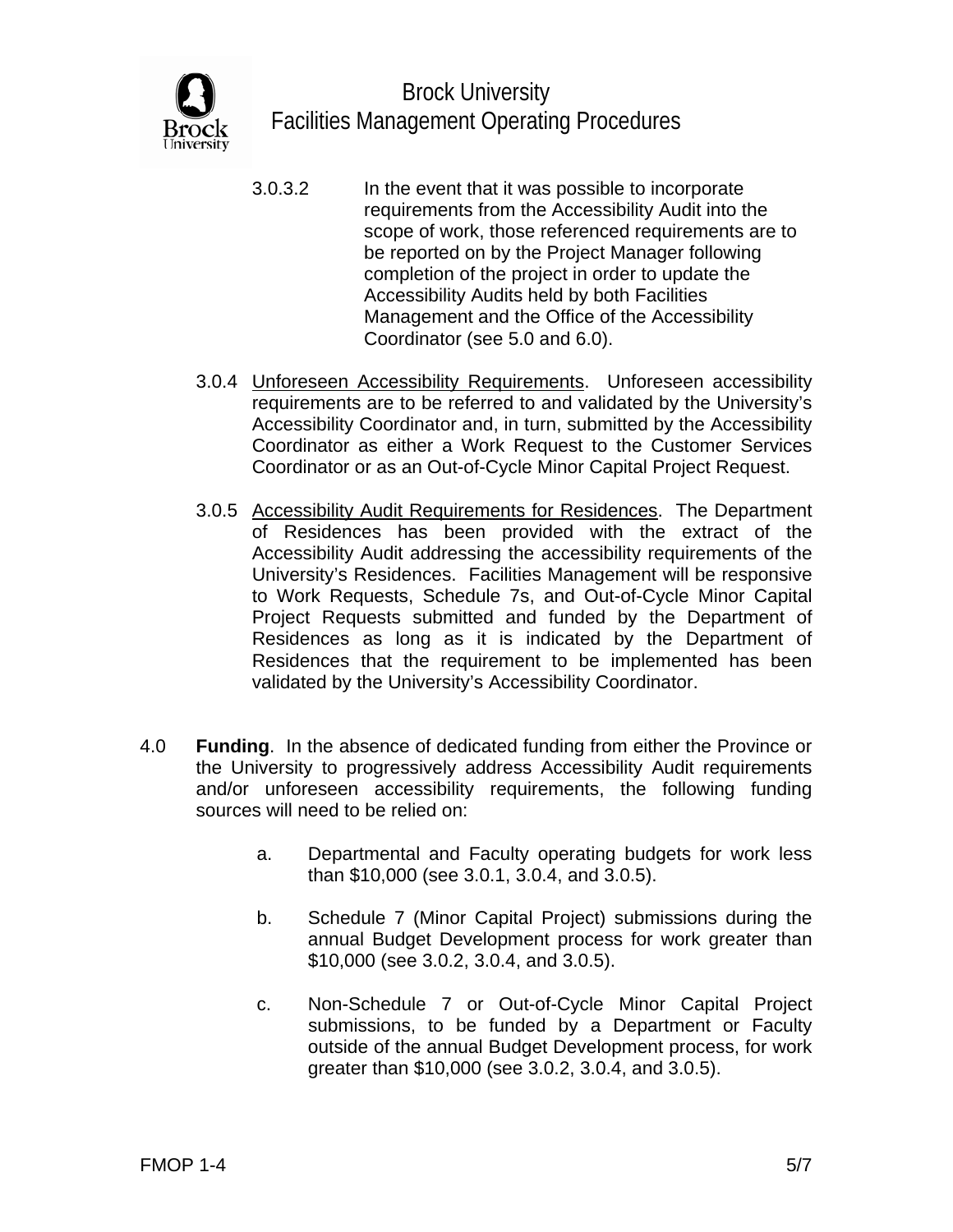

- 3.0.3.2 In the event that it was possible to incorporate requirements from the Accessibility Audit into the scope of work, those referenced requirements are to be reported on by the Project Manager following completion of the project in order to update the Accessibility Audits held by both Facilities Management and the Office of the Accessibility Coordinator (see 5.0 and 6.0).
- 3.0.4 Unforeseen Accessibility Requirements. Unforeseen accessibility requirements are to be referred to and validated by the University's Accessibility Coordinator and, in turn, submitted by the Accessibility Coordinator as either a Work Request to the Customer Services Coordinator or as an Out-of-Cycle Minor Capital Project Request.
- 3.0.5 Accessibility Audit Requirements for Residences. The Department of Residences has been provided with the extract of the Accessibility Audit addressing the accessibility requirements of the University's Residences. Facilities Management will be responsive to Work Requests, Schedule 7s, and Out-of-Cycle Minor Capital Project Requests submitted and funded by the Department of Residences as long as it is indicated by the Department of Residences that the requirement to be implemented has been validated by the University's Accessibility Coordinator.
- 4.0 **Funding**. In the absence of dedicated funding from either the Province or the University to progressively address Accessibility Audit requirements and/or unforeseen accessibility requirements, the following funding sources will need to be relied on:
	- a. Departmental and Faculty operating budgets for work less than \$10,000 (see 3.0.1, 3.0.4, and 3.0.5).
	- b. Schedule 7 (Minor Capital Project) submissions during the annual Budget Development process for work greater than \$10,000 (see 3.0.2, 3.0.4, and 3.0.5).
	- c. Non-Schedule 7 or Out-of-Cycle Minor Capital Project submissions, to be funded by a Department or Faculty outside of the annual Budget Development process, for work greater than \$10,000 (see 3.0.2, 3.0.4, and 3.0.5).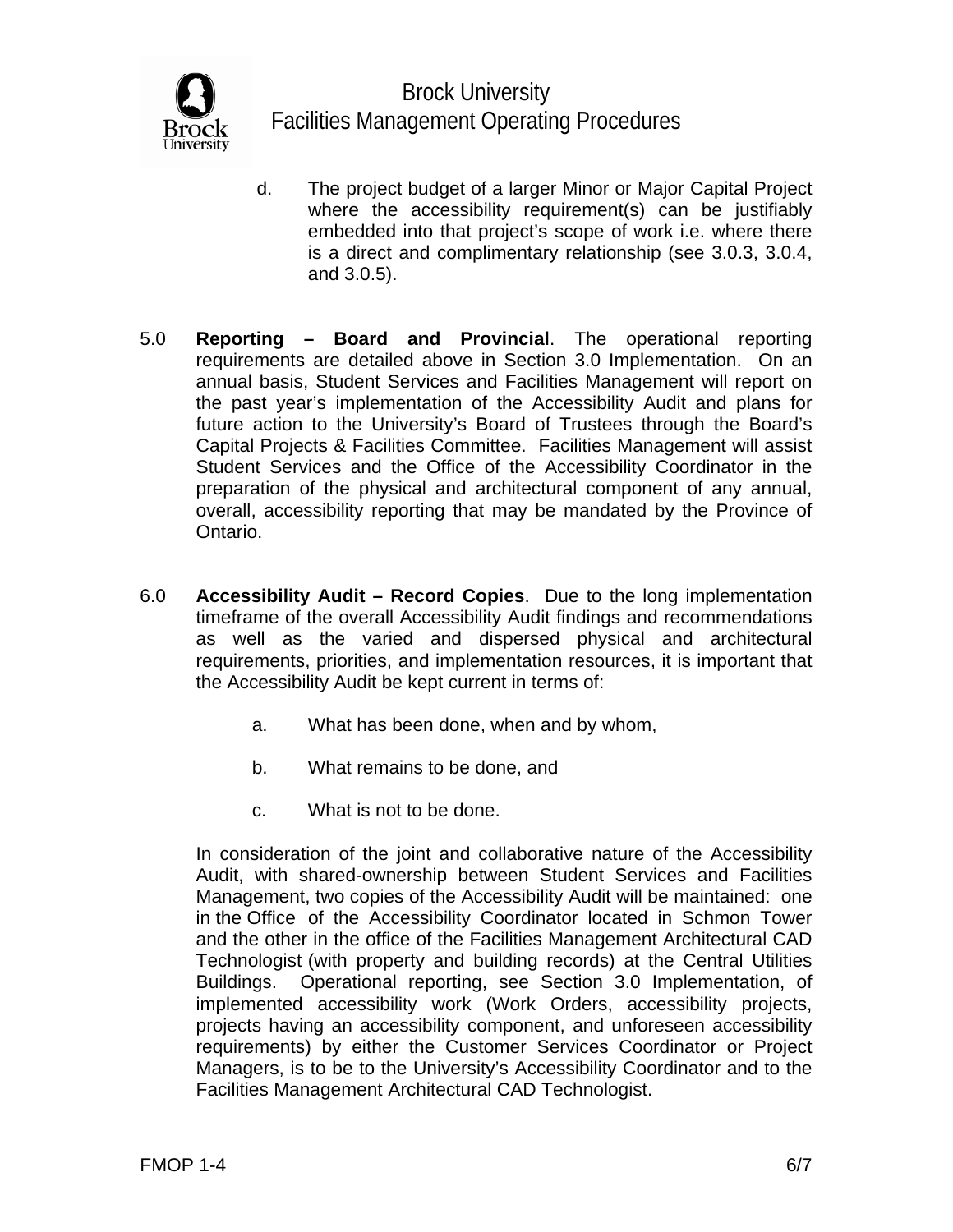

- d. The project budget of a larger Minor or Major Capital Project where the accessibility requirement(s) can be justifiably embedded into that project's scope of work i.e. where there is a direct and complimentary relationship (see 3.0.3, 3.0.4, and 3.0.5).
- 5.0 **Reporting Board and Provincial**. The operational reporting requirements are detailed above in Section 3.0 Implementation. On an annual basis, Student Services and Facilities Management will report on the past year's implementation of the Accessibility Audit and plans for future action to the University's Board of Trustees through the Board's Capital Projects & Facilities Committee. Facilities Management will assist Student Services and the Office of the Accessibility Coordinator in the preparation of the physical and architectural component of any annual, overall, accessibility reporting that may be mandated by the Province of Ontario.
- 6.0 **Accessibility Audit Record Copies**. Due to the long implementation timeframe of the overall Accessibility Audit findings and recommendations as well as the varied and dispersed physical and architectural requirements, priorities, and implementation resources, it is important that the Accessibility Audit be kept current in terms of:
	- a. What has been done, when and by whom,
	- b. What remains to be done, and
	- c. What is not to be done.

 In consideration of the joint and collaborative nature of the Accessibility Audit, with shared-ownership between Student Services and Facilities Management, two copies of the Accessibility Audit will be maintained: one in the Office of the Accessibility Coordinator located in Schmon Tower and the other in the office of the Facilities Management Architectural CAD Technologist (with property and building records) at the Central Utilities Buildings. Operational reporting, see Section 3.0 Implementation, of implemented accessibility work (Work Orders, accessibility projects, projects having an accessibility component, and unforeseen accessibility requirements) by either the Customer Services Coordinator or Project Managers, is to be to the University's Accessibility Coordinator and to the Facilities Management Architectural CAD Technologist.